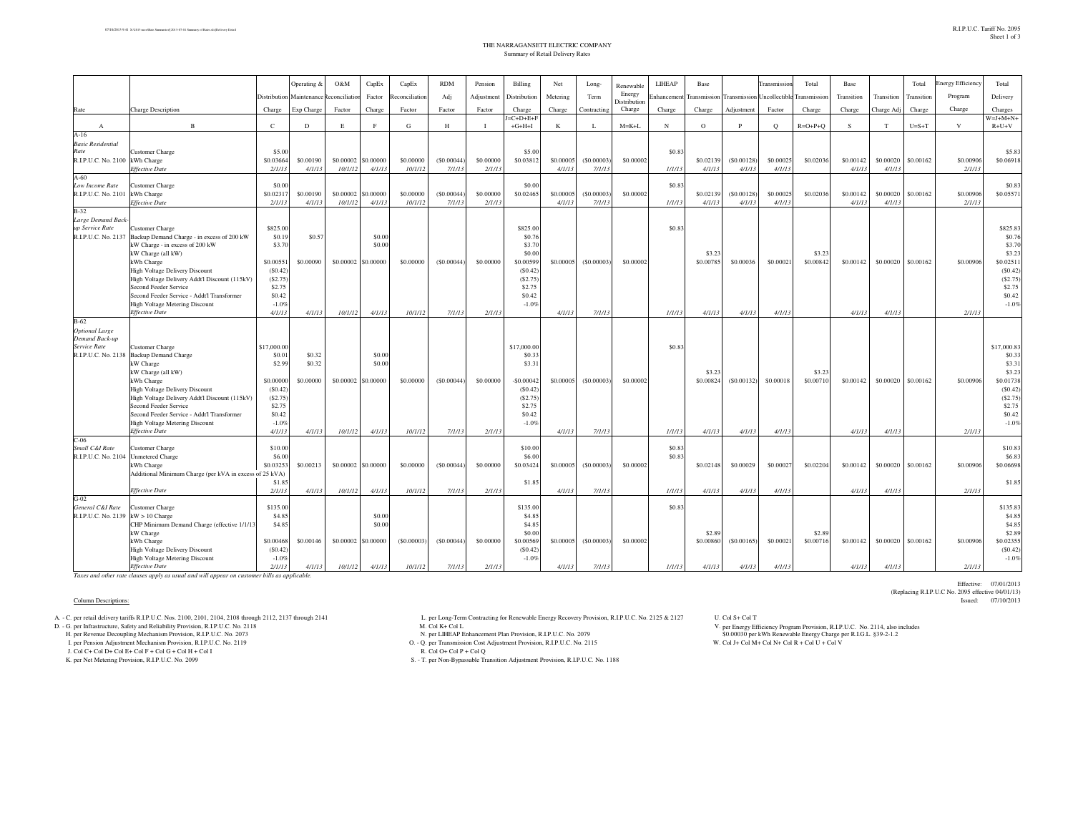## THE NARRAGANSETT ELECTRIC COMPANYSummary of Retail Delivery Rates

|                                       |                                                                                        |                    | Operating & | O&M         | CapEx               | CapEx         | <b>RDM</b> | Pension      | Billing              | Net       | Long-          | Renewable    | LIHEAP           | Base                |              | <b>Transmission</b> | Total           | Base       |            | Total       | nergy Efficiency | Total                        |
|---------------------------------------|----------------------------------------------------------------------------------------|--------------------|-------------|-------------|---------------------|---------------|------------|--------------|----------------------|-----------|----------------|--------------|------------------|---------------------|--------------|---------------------|-----------------|------------|------------|-------------|------------------|------------------------------|
|                                       |                                                                                        | Distribution       | Maintenance | conciliatio | Factor              | econciliation | Adj        | Adjustment   | Distribution         | Metering  | Term           | Energy       | inhancemen       | <b>Transmission</b> | Transmission | Jncollectibl        | Transmission    | Transition | Transition | Transition  | Program          | Delivery                     |
|                                       |                                                                                        |                    |             |             |                     |               |            |              |                      |           |                | Distribution |                  |                     |              |                     |                 |            |            |             |                  |                              |
| Rate                                  | <b>Charge Description</b>                                                              | Charge             | Exp Charge  | Factor      | Charge              | Factor        | Factor     | Factor       | Charge<br>$=C+D+E+F$ | Charge    | Contracting    | Charge       | Charge           | Charge              | Adjustment   | Factor              | Charge          | Charge     | Charge Ad  | Charge      | Charge           | Charges<br>$W = J + M + N +$ |
| $\overline{A}$                        | $\mathbf{B}$                                                                           | $\mathcal{C}$      | D           | E           | $_{\rm F}$          | G             | H          | $\mathbf{I}$ | $+G+H+I$             | K         | L              | $M = K + L$  | N                | $\Omega$            | $\mathbf{P}$ | $\circ$             | $R = O + P + O$ | S          | T          | $U = S + T$ | V                | $R+U+V$                      |
| $A-16$                                |                                                                                        |                    |             |             |                     |               |            |              |                      |           |                |              |                  |                     |              |                     |                 |            |            |             |                  |                              |
| <b>Basic Residential</b>              |                                                                                        |                    |             |             |                     |               |            |              |                      |           |                |              |                  |                     |              |                     |                 |            |            |             |                  |                              |
| Rate                                  | Customer Charge                                                                        | \$5.00             |             |             |                     |               |            |              | \$5.00               |           |                |              | \$0.83           |                     |              |                     |                 |            |            |             |                  | \$5.83                       |
| R.I.P.U.C. No. 2100                   | kWh Charge                                                                             | \$0.0366           | \$0,00190   | \$0,00002   | \$0,00000           | \$0,00000     | (S0.00044) | \$0,00000    | \$0.03812            | \$0,00005 | $($ \$0,00003  | \$0,00002    |                  | \$0.02139           | (S0.00128)   | \$0,00025           | \$0,02036       | \$0,00142  | \$0,00020  | \$0,00162   | \$0,00906        | \$0.06918                    |
| $A-60$                                | <b>Effective Date</b>                                                                  | 2/1/1              | 4/1/13      | 10/1/12     | 4/1/13              | 10/1/12       | 7/1/13     | 2/1/1        |                      | 4/1/13    | 7/1/13         |              | 1/1/13           | 4/1/13              | 4/1/13       | 4/1/13              |                 | 4/1/1      | $4/1/1$ .  |             | 2/1/1            |                              |
| Low Income Rate                       | <b>Customer Charge</b>                                                                 | \$0.00             |             |             |                     |               |            |              | \$0.00               |           |                |              | \$0.83           |                     |              |                     |                 |            |            |             |                  | \$0.83                       |
| R.I.P.U.C. No. 2101                   | kWh Charge                                                                             | \$0.0231           | \$0.00190   | \$0.00002   | \$0,00000           | \$0,00000     | (S0.00044) | \$0,00000    | \$0.02465            | \$0.00005 | (S0.00003)     | \$0,00002    |                  | \$0.02139           | (S0.00128)   | \$0.00025           | \$0.02036       | \$0.00142  | \$0.00020  | \$0.00162   | \$0.00906        | \$0.05571                    |
|                                       | <b>Effective Date</b>                                                                  | 2/1/1              | 4/1/13      | 10/1/12     | 4/1/13              | 10/1/12       | 7/1/13     | 2/1/13       |                      | 4/1/13    | 7/1/13         |              | 1/1/13           | 4/1/13              | 4/1/13       | 4/1/13              |                 | 4/1/1      | 4/1/1      |             | 2/1/13           |                              |
| $B-32$                                |                                                                                        |                    |             |             |                     |               |            |              |                      |           |                |              |                  |                     |              |                     |                 |            |            |             |                  |                              |
| Large Demand Back                     |                                                                                        |                    |             |             |                     |               |            |              |                      |           |                |              |                  |                     |              |                     |                 |            |            |             |                  |                              |
| up Service Rate                       | <b>Customer Charge</b>                                                                 | \$825.00           |             |             |                     |               |            |              | \$825.00             |           |                |              | \$0.83           |                     |              |                     |                 |            |            |             |                  | \$825.83                     |
| R.I.P.U.C. No. 2137                   | Backup Demand Charge - in excess of 200 kW<br>kW Charge - in excess of 200 kW          | \$0.19<br>\$3.70   | \$0.57      |             | \$0.00<br>\$0.00    |               |            |              | \$0.7<br>\$3.70      |           |                |              |                  |                     |              |                     |                 |            |            |             |                  | \$0.76<br>\$3.70             |
|                                       | kW Charge (all kW)                                                                     |                    |             |             |                     |               |            |              | \$0.00               |           |                |              |                  | \$3.23              |              |                     | \$3.23          |            |            |             |                  | \$3.23                       |
|                                       | kWh Charge                                                                             | \$0.0055           | \$0.00090   |             | \$0,00002 \$0,00000 | \$0.00000     | (S0.00044) | \$0,00000    | \$0.00599            | \$0,00005 | $($ \$0,00003) | \$0,00002    |                  | \$0,00785           | \$0.00036    | \$0.00021           | \$0.00842       | \$0.00142  | \$0,00020  | \$0.00162   | \$0,00906        | \$0.0251                     |
|                                       | <b>High Voltage Delivery Discount</b>                                                  | (S0.42)            |             |             |                     |               |            |              | (S0.42)              |           |                |              |                  |                     |              |                     |                 |            |            |             |                  | (S0.42)                      |
|                                       | High Voltage Delivery Addt'l Discount (115kV)                                          | (S2.75)            |             |             |                     |               |            |              | (S2.75)              |           |                |              |                  |                     |              |                     |                 |            |            |             |                  | (S2.75)                      |
|                                       | Second Feeder Service                                                                  | \$2.75             |             |             |                     |               |            |              | \$2.75               |           |                |              |                  |                     |              |                     |                 |            |            |             |                  | \$2.75                       |
|                                       | Second Feeder Service - Addt'l Transformer                                             | \$0.42             |             |             |                     |               |            |              | \$0.42               |           |                |              |                  |                     |              |                     |                 |            |            |             |                  | \$0.42                       |
|                                       | <b>High Voltage Metering Discount</b>                                                  | $-1.09$            |             |             |                     |               |            |              | $-1.0%$              |           |                |              |                  |                     |              |                     |                 |            |            |             |                  | $-1.0%$                      |
| $B-62$                                | <b>Effective Date</b>                                                                  | 4/1/13             | 4/1/13      | 10/1/12     | 4/1/13              | 10/1/12       | 7/1/13     | 2/1/13       |                      | 4/1/13    | 7/1/13         |              | 1/1/13           | 4/1/13              | 4/1/13       | 4/1/13              |                 | 4/1/1      | 4/1/13     |             | 2/1/13           |                              |
| <b>Optional Large</b>                 |                                                                                        |                    |             |             |                     |               |            |              |                      |           |                |              |                  |                     |              |                     |                 |            |            |             |                  |                              |
| Demand Back-up                        |                                                                                        |                    |             |             |                     |               |            |              |                      |           |                |              |                  |                     |              |                     |                 |            |            |             |                  |                              |
| Service Rate                          | Customer Charge                                                                        | \$17,000.0         |             |             |                     |               |            |              | \$17,000.00          |           |                |              | \$0.83           |                     |              |                     |                 |            |            |             |                  | \$17,000.83                  |
| R.I.P.U.C. No. 2138                   | <b>Backup Demand Charge</b>                                                            | \$0.0              | \$0.32      |             | \$0.00              |               |            |              | \$0.33               |           |                |              |                  |                     |              |                     |                 |            |            |             |                  | \$0.33                       |
|                                       | kW Charge                                                                              | \$2.99             | \$0.32      |             | \$0.00              |               |            |              | \$3.31               |           |                |              |                  |                     |              |                     |                 |            |            |             |                  | \$3.31                       |
|                                       | kW Charge (all kW)                                                                     |                    |             |             |                     |               |            |              |                      |           |                |              |                  | \$3.23              |              |                     | \$3.23          |            |            |             |                  | \$3.23                       |
|                                       | kWh Charge                                                                             | \$0,00000          | \$0,00000   |             | \$0,00002 \$0,00000 | \$0,00000     | (S0,00044) | \$0,00000    | $-$0.00042$          | \$0,00005 | $($ \$0,00003) | \$0,00002    |                  | \$0,00824           | (S0,00132)   | \$0,00018           | \$0,00710       | \$0.00142  | \$0,00020  | \$0,00162   | \$0,00906        | \$0.01738                    |
|                                       | <b>High Voltage Delivery Discount</b><br>High Voltage Delivery Addt'l Discount (115kV) | (S0.42)<br>(S2.75) |             |             |                     |               |            |              | (S0.42)<br>(S2.75)   |           |                |              |                  |                     |              |                     |                 |            |            |             |                  | (S0.42)<br>(S2.75)           |
|                                       | Second Feeder Service                                                                  | \$2.75             |             |             |                     |               |            |              | \$2.75               |           |                |              |                  |                     |              |                     |                 |            |            |             |                  | \$2.75                       |
|                                       | Second Feeder Service - Addt'l Transformer                                             | \$0.42             |             |             |                     |               |            |              | \$0.42               |           |                |              |                  |                     |              |                     |                 |            |            |             |                  | \$0.42                       |
|                                       | <b>High Voltage Metering Discount</b>                                                  | $-1.09$            |             |             |                     |               |            |              | $-1.0%$              |           |                |              |                  |                     |              |                     |                 |            |            |             |                  | $-1.0%$                      |
|                                       | Effective Date                                                                         | 4/1/13             | 4/1/13      | 10/1/12     | 4/1/13              | 10/1/12       | 7/1/13     | 2/1/13       |                      | 4/1/13    | 7/1/13         |              | 1/1/13           | 4/1/13              | 4/1/13       | 4/1/13              |                 | 4/1/13     | 4/1/13     |             | 2/1/13           |                              |
| $C-06$                                |                                                                                        |                    |             |             |                     |               |            |              |                      |           |                |              |                  |                     |              |                     |                 |            |            |             |                  |                              |
| Small C&I Rate<br>R.I.P.U.C. No. 2104 | <b>Customer Charge</b><br><b>Unmetered Charge</b>                                      | \$10.00<br>\$6.00  |             |             |                     |               |            |              | \$10.00<br>\$6.00    |           |                |              | \$0.83<br>\$0.83 |                     |              |                     |                 |            |            |             |                  | \$10.83<br>\$6.83            |
|                                       | kWh Charge                                                                             | \$0.0325           | \$0.00213   |             | \$0.00002 \$0.00000 | \$0.00000     | (S0.00044) | \$0.00000    | \$0.03424            | \$0.00005 | (S0.00003)     | \$0,00002    |                  | \$0.02148           | \$0.00029    | \$0.00027           | \$0.02204       | \$0.00142  | \$0.00020  | \$0.00162   | \$0.00906        | \$0.06698                    |
|                                       | Additional Minimum Charge (per kVA in excess of 25 kVA)                                |                    |             |             |                     |               |            |              |                      |           |                |              |                  |                     |              |                     |                 |            |            |             |                  |                              |
|                                       |                                                                                        | \$1.8              |             |             |                     |               |            |              | \$1.85               |           |                |              |                  |                     |              |                     |                 |            |            |             |                  | \$1.85                       |
|                                       | <b>Effective Date</b>                                                                  | 2/1/13             | 4/1/13      | 10/1/12     | 4/1/13              | 10/1/12       | 7/1/13     | 2/1/13       |                      | 4/1/13    | 7/1/13         |              | 1/1/13           | 4/1/13              | 4/1/13       | 4/1/13              |                 | 4/1/13     | 4/1/13     |             | 2/1/13           |                              |
| $G-02$                                |                                                                                        |                    |             |             |                     |               |            |              |                      |           |                |              |                  |                     |              |                     |                 |            |            |             |                  |                              |
| General C&I Rate                      | <b>Customer Charge</b>                                                                 | \$135.00           |             |             |                     |               |            |              | \$135.00             |           |                |              | \$0.83           |                     |              |                     |                 |            |            |             |                  | \$135.83                     |
| R.I.P.U.C. No. 2139 kW > 10 Charge    |                                                                                        | \$4.8              |             |             | \$0.00<br>\$0.00    |               |            |              | \$4.85               |           |                |              |                  |                     |              |                     |                 |            |            |             |                  | \$4.85                       |
|                                       | CHP Minimum Demand Charge (effective 1/1/13<br>kW Charge                               | \$4.8              |             |             |                     |               |            |              | \$4.85<br>\$0.00     |           |                |              |                  | \$2.89              |              |                     | \$2.89          |            |            |             |                  | \$4.85<br>\$2.89             |
|                                       | kWh Charge                                                                             | \$0.00468          | \$0.00146   |             | \$0,00002 \$0,00000 | (S0.00003)    | (S0.00044) | \$0,00000    | \$0.00569            | \$0,00005 | (S0.00003)     | \$0,00002    |                  | \$0,00860           | (S0.00165)   | \$0.0002            | \$0.00716       | \$0.00142  | \$0.00020  | \$0.00162   | \$0,00906        | \$0.02355                    |
|                                       | High Voltage Delivery Discount                                                         | (S0.42)            |             |             |                     |               |            |              | (S0.42)              |           |                |              |                  |                     |              |                     |                 |            |            |             |                  | (S0.42)                      |
|                                       | <b>High Voltage Metering Discount</b>                                                  | $-1.09$            |             |             |                     |               |            |              | $-1.0%$              |           |                |              |                  |                     |              |                     |                 |            |            |             |                  | $-1.0%$                      |
|                                       | <b>Effective Date</b>                                                                  | 2/1/13             | 4/1/13      | 10/1/12     | 4/1/13              | 10/1/12       | 7/1/13     | 2/1/13       |                      | 4/1/13    | 7/1/13         |              | 1/1/13           | 4/1/13              | 4/1/13       | 4/1/13              |                 | 4/1/13     | 4/1/13     |             | 2/1/13           |                              |

*Effective DateTaxes and other rate clauses apply as usual and will appear on customer bills as applicable.*

## Column Descriptions:

- 
- 

H. per Revenue Decoupling Mechanism Provision, R.I.P.U.C. No. 2073<br>I. per Pension Adjustment Mechanism Provision, R.I.P.U.C. No. 2119<br>J. Col C+ Col D+ Col E+ Col F + Col G + Col H + Col I

K. per Net Metering Provision, R.I.P.U.C. No. 2099

A. - C. per retail delivery tariffs R.I.P.U.C. Nos. 2100, 2101, 2104, 2108 through 2112, 2137 through 2141 and the Long-Term Contracting for Renewable Energy Recovery Provision, R.I.P.U.C. No. 2125 & 2127 U. Col S+ Col T<br>D L. per Long-Term Contracting for Renewable Energy Recovery Provision, R.I.P.U.C. No. 2125 & 2127 M. Col $\rm K+Col$  L

- N. per LIHEAP Enhancement Plan Provision, R.I.P.U.C. No. 2079
- 
- O. Q. per Transmission Cost Adjustment Provision, R.I.P.U.C. No. 2115 W. Col J+ Col M+ Col N+ Col R + Col U + Col V R. Col O+ Col P + Col Q
	-
- S. T. per Non-Bypassable Transition Adjustment Provision, R.I.P.U.C. No. 1188

per Energy Efficiency Program Provision, R.I.P.U.C. No. 2114, also includes \$0.00030 per kWh Renewable Energy Charge per R.I.G.L. §39-2-1.2

Effective: 07/01/2013 (Replacing R.I.P.U.C No. 2095 effective 04/01/13)Issued: 07/10/2013 Issued: 07/10/2013